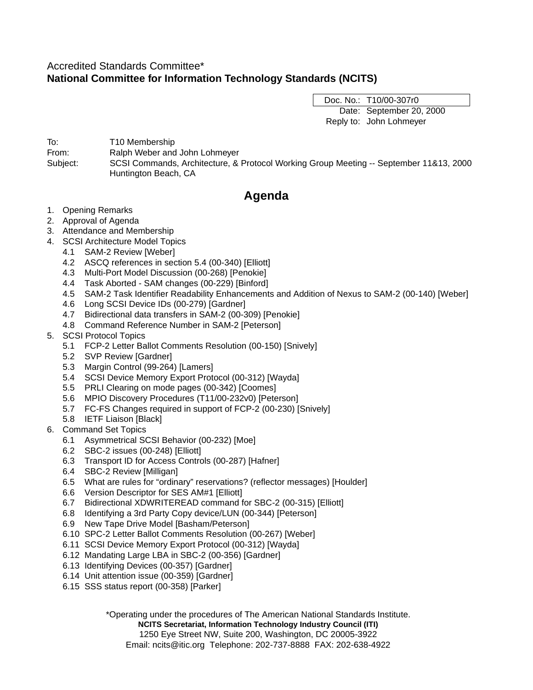# Accredited Standards Committee\* **National Committee for Information Technology Standards (NCITS)**

Doc. No.: T10/00-307r0 Date: September 20, 2000 Reply to: John Lohmeyer

To: T10 Membership From: Ralph Weber and John Lohmeyer Subject: SCSI Commands, Architecture, & Protocol Working Group Meeting -- September 11&13, 2000 Huntington Beach, CA

# **Agenda**

- 1. Opening Remarks
- 2. Approval of Agenda
- 3. Attendance and Membership
- 4. SCSI Architecture Model Topics
	- 4.1 SAM-2 Review [Weber]
	- 4.2 ASCQ references in section 5.4 (00-340) [Elliott]
	- 4.3 Multi-Port Model Discussion (00-268) [Penokie]
	- 4.4 Task Aborted SAM changes (00-229) [Binford]
	- 4.5 SAM-2 Task Identifier Readability Enhancements and Addition of Nexus to SAM-2 (00-140) [Weber]
	- 4.6 Long SCSI Device IDs (00-279) [Gardner]
	- 4.7 Bidirectional data transfers in SAM-2 (00-309) [Penokie]
	- 4.8 Command Reference Number in SAM-2 [Peterson]
- 5. SCSI Protocol Topics
	- 5.1 FCP-2 Letter Ballot Comments Resolution (00-150) [Snively]
	- 5.2 SVP Review [Gardner]
	- 5.3 Margin Control (99-264) [Lamers]
	- 5.4 SCSI Device Memory Export Protocol (00-312) [Wayda]
	- 5.5 PRLI Clearing on mode pages (00-342) [Coomes]
	- 5.6 MPIO Discovery Procedures (T11/00-232v0) [Peterson]
	- 5.7 FC-FS Changes required in support of FCP-2 (00-230) [Snively]
	- 5.8 IETF Liaison [Black]
- 6. Command Set Topics
	- 6.1 Asymmetrical SCSI Behavior (00-232) [Moe]
	- 6.2 SBC-2 issues (00-248) [Elliott]
	- 6.3 Transport ID for Access Controls (00-287) [Hafner]
	- 6.4 SBC-2 Review [Milligan]
	- 6.5 What are rules for "ordinary" reservations? (reflector messages) [Houlder]
	- 6.6 Version Descriptor for SES AM#1 [Elliott]
	- 6.7 Bidirectional XDWRITEREAD command for SBC-2 (00-315) [Elliott]
	- 6.8 Identifying a 3rd Party Copy device/LUN (00-344) [Peterson]
	- 6.9 New Tape Drive Model [Basham/Peterson]
	- 6.10 SPC-2 Letter Ballot Comments Resolution (00-267) [Weber]
	- 6.11 SCSI Device Memory Export Protocol (00-312) [Wayda]
	- 6.12 Mandating Large LBA in SBC-2 (00-356) [Gardner]
	- 6.13 Identifying Devices (00-357) [Gardner]
	- 6.14 Unit attention issue (00-359) [Gardner]
	- 6.15 SSS status report (00-358) [Parker]

\*Operating under the procedures of The American National Standards Institute.

**NCITS Secretariat, Information Technology Industry Council (ITI)**

1250 Eye Street NW, Suite 200, Washington, DC 20005-3922

Email: ncits@itic.org Telephone: 202-737-8888 FAX: 202-638-4922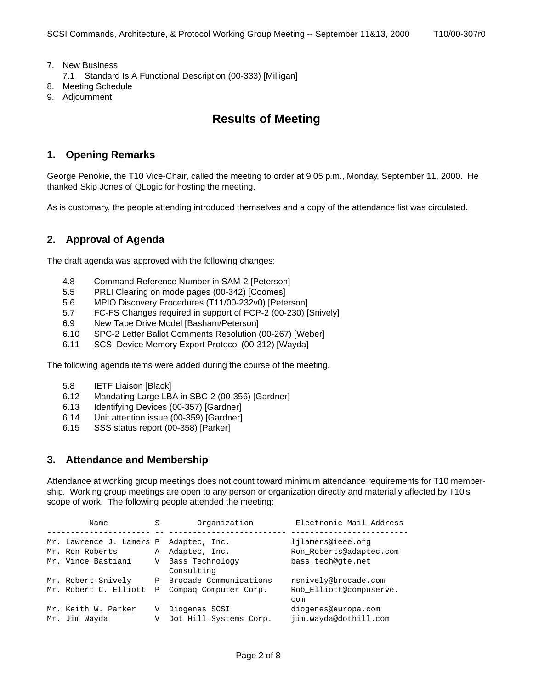- 7. New Business
	- 7.1 Standard Is A Functional Description (00-333) [Milligan]
- 8. Meeting Schedule
- 9. Adjournment

# **Results of Meeting**

# **1. Opening Remarks**

George Penokie, the T10 Vice-Chair, called the meeting to order at 9:05 p.m., Monday, September 11, 2000. He thanked Skip Jones of QLogic for hosting the meeting.

As is customary, the people attending introduced themselves and a copy of the attendance list was circulated.

# **2. Approval of Agenda**

The draft agenda was approved with the following changes:

- 4.8 Command Reference Number in SAM-2 [Peterson]
- 5.5 PRLI Clearing on mode pages (00-342) [Coomes]
- 5.6 MPIO Discovery Procedures (T11/00-232v0) [Peterson]
- 5.7 FC-FS Changes required in support of FCP-2 (00-230) [Snively]
- 6.9 New Tape Drive Model [Basham/Peterson]
- 6.10 SPC-2 Letter Ballot Comments Resolution (00-267) [Weber]
- 6.11 SCSI Device Memory Export Protocol (00-312) [Wayda]

The following agenda items were added during the course of the meeting.

- 5.8 IETF Liaison [Black]
- 6.12 Mandating Large LBA in SBC-2 (00-356) [Gardner]
- 6.13 Identifying Devices (00-357) [Gardner]
- 6.14 Unit attention issue (00-359) [Gardner]
- 6.15 SSS status report (00-358) [Parker]

# **3. Attendance and Membership**

Attendance at working group meetings does not count toward minimum attendance requirements for T10 membership. Working group meetings are open to any person or organization directly and materially affected by T10's scope of work. The following people attended the meeting:

| Name                                                              | S      | Organization                                                    | Electronic Mail Address                                           |
|-------------------------------------------------------------------|--------|-----------------------------------------------------------------|-------------------------------------------------------------------|
| Mr. Lawrence J. Lamers P<br>Mr. Ron Roberts<br>Mr. Vince Bastiani | A<br>V | Adaptec, Inc.<br>Adaptec, Inc.<br>Bass Technology<br>Consulting | ljlamers@ieee.org<br>Ron Roberts@adaptec.com<br>bass.tech@qte.net |
| Mr. Robert Snively<br>Mr. Robert C. Elliott                       | Ρ<br>P | Brocade Communications<br>Compag Computer Corp.                 | rsnively@brocade.com<br>Rob Elliott@compuserve.<br>com            |
| Mr. Keith W. Parker<br>Mr. Jim Wayda                              | V<br>V | Diogenes SCSI<br>Dot Hill Systems Corp.                         | diogenes@europa.com<br>jim.wayda@dothill.com                      |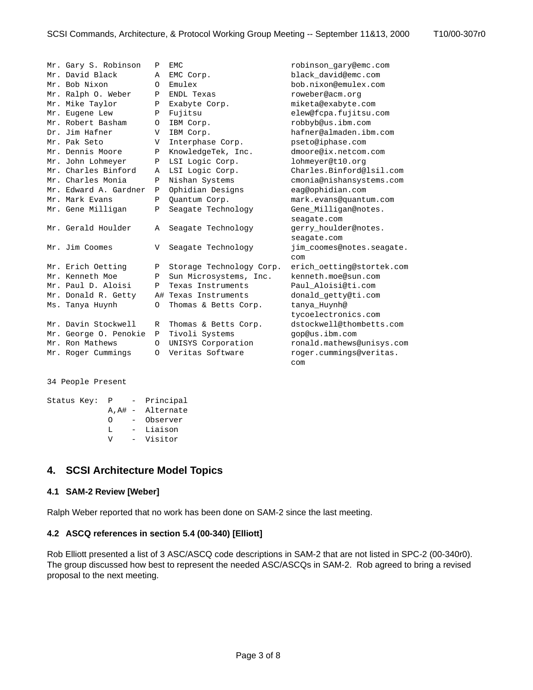| Mr. Gary S. Robinson  | Ρ       | <b>EMC</b>               | robinson gary@emc.com     |
|-----------------------|---------|--------------------------|---------------------------|
| Mr. David Black       | Α       | EMC Corp.                | black david@emc.com       |
| Mr. Bob Nixon         | O       | Emulex                   | bob.nixon@emulex.com      |
| Mr. Ralph O. Weber    | Ρ       | <b>ENDL Texas</b>        | roweber@acm.org           |
| Mr. Mike Taylor       | Ρ       | Exabyte Corp.            | miketa@exabyte.com        |
| Mr. Eugene Lew        | Ρ       | Fujitsu                  | elew@fcpa.fujitsu.com     |
| Mr. Robert Basham     | $\circ$ | IBM Corp.                | robbyb@us.ibm.com         |
| Dr. Jim Hafner        | V       | IBM Corp.                | hafner@almaden.ibm.com    |
| Mr. Pak Seto          | V       | Interphase Corp.         | pseto@iphase.com          |
| Mr. Dennis Moore      | Ρ       | KnowledgeTek, Inc.       | dmoore@ix.netcom.com      |
| Mr. John Lohmeyer     | Ρ       | LSI Logic Corp.          | lohmeyer@t10.org          |
| Mr. Charles Binford   | Α       | LSI Logic Corp.          | Charles.Binford@lsil.com  |
| Mr. Charles Monia     | Ρ       | Nishan Systems           | cmonia@nishansystems.com  |
| Mr. Edward A. Gardner | Ρ       | Ophidian Designs         | eag@ophidian.com          |
| Mr. Mark Evans        | Ρ       | Ouantum Corp.            | mark.evans@quantum.com    |
| Mr. Gene Milligan     | Ρ       | Seagate Technology       | Gene_Milligan@notes.      |
|                       |         |                          | seagate.com               |
| Mr. Gerald Houlder    | Α       | Seagate Technology       | gerry_houlder@notes.      |
|                       |         |                          | seagate.com               |
| Mr. Jim Coomes        | V       | Seagate Technology       | jim_coomes@notes.seagate. |
|                       |         |                          | com                       |
| Mr. Erich Oetting     | Ρ       | Storage Technology Corp. | erich_oetting@stortek.com |
| Mr. Kenneth Moe       | Ρ       | Sun Microsystems, Inc.   | kenneth.moe@sun.com       |
| Mr. Paul D. Aloisi    | Ρ       | Texas Instruments        | Paul Aloisi@ti.com        |
| Mr. Donald R. Getty   |         | A# Texas Instruments     | donald_getty@ti.com       |
| Ms. Tanya Huynh       | O       | Thomas & Betts Corp.     | tanya Huynh@              |
|                       |         |                          | tycoelectronics.com       |
| Mr. Davin Stockwell   | R       | Thomas & Betts Corp.     | dstockwell@thombetts.com  |
| Mr. George O. Penokie | Ρ       | Tivoli Systems           | gop@us.ibm.com            |
| Mr. Ron Mathews       | $\circ$ | UNISYS Corporation       | ronald.mathews@unisys.com |
| Mr. Roger Cummings    | O       | Veritas Software         | roger.cummings@veritas.   |
|                       |         |                          | com                       |
|                       |         |                          |                           |

34 People Present

| Status Key: | $\mathbf{P}$ |                          | Principal         |
|-------------|--------------|--------------------------|-------------------|
|             |              |                          | A, A# - Alternate |
|             | ∩            | $\overline{\phantom{0}}$ | Observer          |
|             | т.           | $-$                      | Liaison           |
|             | ΔT           | $\sim$ $-$               | Visitor           |
|             |              |                          |                   |

# **4. SCSI Architecture Model Topics**

## **4.1 SAM-2 Review [Weber]**

Ralph Weber reported that no work has been done on SAM-2 since the last meeting.

#### **4.2 ASCQ references in section 5.4 (00-340) [Elliott]**

Rob Elliott presented a list of 3 ASC/ASCQ code descriptions in SAM-2 that are not listed in SPC-2 (00-340r0). The group discussed how best to represent the needed ASC/ASCQs in SAM-2. Rob agreed to bring a revised proposal to the next meeting.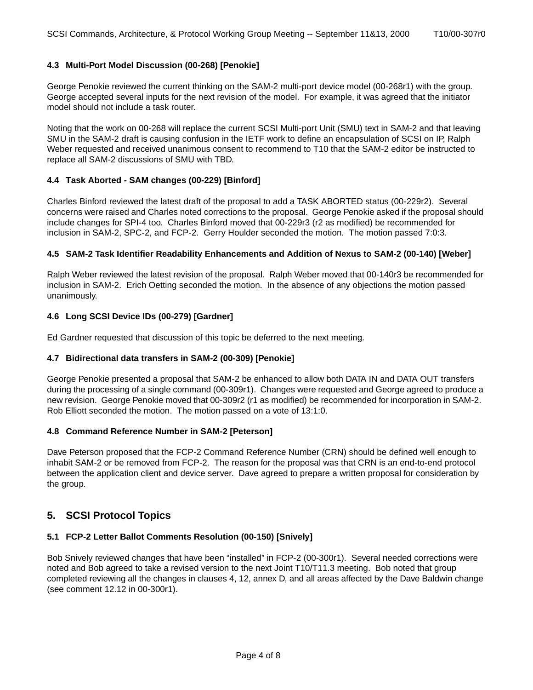## **4.3 Multi-Port Model Discussion (00-268) [Penokie]**

George Penokie reviewed the current thinking on the SAM-2 multi-port device model (00-268r1) with the group. George accepted several inputs for the next revision of the model. For example, it was agreed that the initiator model should not include a task router.

Noting that the work on 00-268 will replace the current SCSI Multi-port Unit (SMU) text in SAM-2 and that leaving SMU in the SAM-2 draft is causing confusion in the IETF work to define an encapsulation of SCSI on IP, Ralph Weber requested and received unanimous consent to recommend to T10 that the SAM-2 editor be instructed to replace all SAM-2 discussions of SMU with TBD.

## **4.4 Task Aborted - SAM changes (00-229) [Binford]**

Charles Binford reviewed the latest draft of the proposal to add a TASK ABORTED status (00-229r2). Several concerns were raised and Charles noted corrections to the proposal. George Penokie asked if the proposal should include changes for SPI-4 too. Charles Binford moved that 00-229r3 (r2 as modified) be recommended for inclusion in SAM-2, SPC-2, and FCP-2. Gerry Houlder seconded the motion. The motion passed 7:0:3.

## **4.5 SAM-2 Task Identifier Readability Enhancements and Addition of Nexus to SAM-2 (00-140) [Weber]**

Ralph Weber reviewed the latest revision of the proposal. Ralph Weber moved that 00-140r3 be recommended for inclusion in SAM-2. Erich Oetting seconded the motion. In the absence of any objections the motion passed unanimously.

## **4.6 Long SCSI Device IDs (00-279) [Gardner]**

Ed Gardner requested that discussion of this topic be deferred to the next meeting.

## **4.7 Bidirectional data transfers in SAM-2 (00-309) [Penokie]**

George Penokie presented a proposal that SAM-2 be enhanced to allow both DATA IN and DATA OUT transfers during the processing of a single command (00-309r1). Changes were requested and George agreed to produce a new revision. George Penokie moved that 00-309r2 (r1 as modified) be recommended for incorporation in SAM-2. Rob Elliott seconded the motion. The motion passed on a vote of 13:1:0.

## **4.8 Command Reference Number in SAM-2 [Peterson]**

Dave Peterson proposed that the FCP-2 Command Reference Number (CRN) should be defined well enough to inhabit SAM-2 or be removed from FCP-2. The reason for the proposal was that CRN is an end-to-end protocol between the application client and device server. Dave agreed to prepare a written proposal for consideration by the group.

# **5. SCSI Protocol Topics**

## **5.1 FCP-2 Letter Ballot Comments Resolution (00-150) [Snively]**

Bob Snively reviewed changes that have been "installed" in FCP-2 (00-300r1). Several needed corrections were noted and Bob agreed to take a revised version to the next Joint T10/T11.3 meeting. Bob noted that group completed reviewing all the changes in clauses 4, 12, annex D, and all areas affected by the Dave Baldwin change (see comment 12.12 in 00-300r1).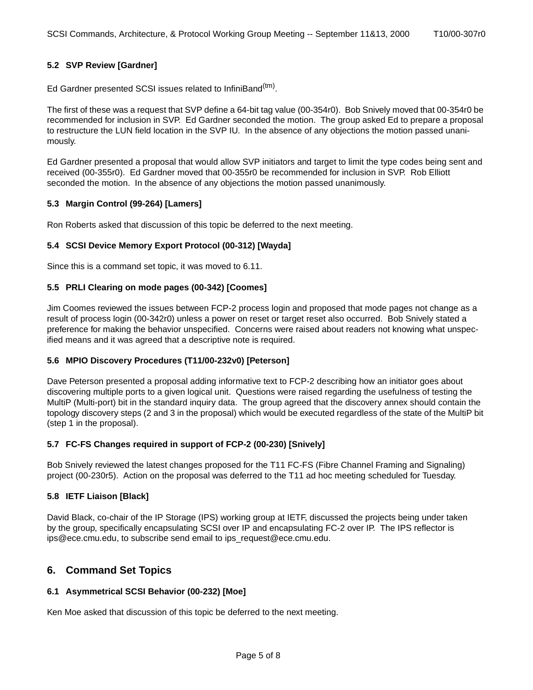Ed Gardner presented SCSI issues related to InfiniBand<sup>(tm)</sup>.

The first of these was a request that SVP define a 64-bit tag value (00-354r0). Bob Snively moved that 00-354r0 be recommended for inclusion in SVP. Ed Gardner seconded the motion. The group asked Ed to prepare a proposal to restructure the LUN field location in the SVP IU. In the absence of any objections the motion passed unanimously.

Ed Gardner presented a proposal that would allow SVP initiators and target to limit the type codes being sent and received (00-355r0). Ed Gardner moved that 00-355r0 be recommended for inclusion in SVP. Rob Elliott seconded the motion. In the absence of any objections the motion passed unanimously.

## **5.3 Margin Control (99-264) [Lamers]**

Ron Roberts asked that discussion of this topic be deferred to the next meeting.

## **5.4 SCSI Device Memory Export Protocol (00-312) [Wayda]**

Since this is a command set topic, it was moved to [6.11.](#page-6-0)

## **5.5 PRLI Clearing on mode pages (00-342) [Coomes]**

Jim Coomes reviewed the issues between FCP-2 process login and proposed that mode pages not change as a result of process login (00-342r0) unless a power on reset or target reset also occurred. Bob Snively stated a preference for making the behavior unspecified. Concerns were raised about readers not knowing what unspecified means and it was agreed that a descriptive note is required.

## **5.6 MPIO Discovery Procedures (T11/00-232v0) [Peterson]**

Dave Peterson presented a proposal adding informative text to FCP-2 describing how an initiator goes about discovering multiple ports to a given logical unit. Questions were raised regarding the usefulness of testing the MultiP (Multi-port) bit in the standard inquiry data. The group agreed that the discovery annex should contain the topology discovery steps (2 and 3 in the proposal) which would be executed regardless of the state of the MultiP bit (step 1 in the proposal).

## **5.7 FC-FS Changes required in support of FCP-2 (00-230) [Snively]**

Bob Snively reviewed the latest changes proposed for the T11 FC-FS (Fibre Channel Framing and Signaling) project (00-230r5). Action on the proposal was deferred to the T11 ad hoc meeting scheduled for Tuesday.

## **5.8 IETF Liaison [Black]**

David Black, co-chair of the IP Storage (IPS) working group at IETF, discussed the projects being under taken by the group, specifically encapsulating SCSI over IP and encapsulating FC-2 over IP. The IPS reflector is ips@ece.cmu.edu, to subscribe send email to ips\_request@ece.cmu.edu.

## **6. Command Set Topics**

## **6.1 Asymmetrical SCSI Behavior (00-232) [Moe]**

Ken Moe asked that discussion of this topic be deferred to the next meeting.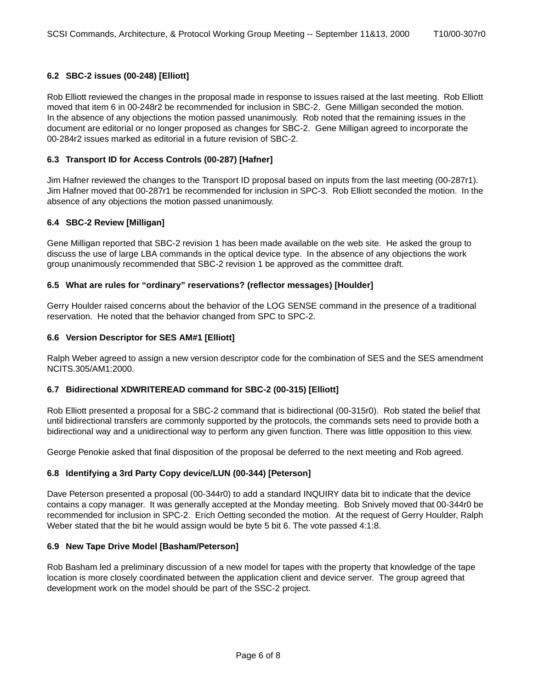## **6.2 SBC-2 issues (00-248) [Elliott]**

Rob Elliott reviewed the changes in the proposal made in response to issues raised at the last meeting. Rob Elliott moved that item 6 in 00-248r2 be recommended for inclusion in SBC-2. Gene Milligan seconded the motion. In the absence of any objections the motion passed unanimously. Rob noted that the remaining issues in the document are editorial or no longer proposed as changes for SBC-2. Gene Milligan agreed to incorporate the 00-284r2 issues marked as editorial in a future revision of SBC-2.

## **6.3 Transport ID for Access Controls (00-287) [Hafner]**

Jim Hafner reviewed the changes to the Transport ID proposal based on inputs from the last meeting (00-287r1). Jim Hafner moved that 00-287r1 be recommended for inclusion in SPC-3. Rob Elliott seconded the motion. In the absence of any objections the motion passed unanimously.

## **6.4 SBC-2 Review [Milligan]**

Gene Milligan reported that SBC-2 revision 1 has been made available on the web site. He asked the group to discuss the use of large LBA commands in the optical device type. In the absence of any objections the work group unanimously recommended that SBC-2 revision 1 be approved as the committee draft.

## **6.5 What are rules for "ordinary" reservations? (reflector messages) [Houlder]**

Gerry Houlder raised concerns about the behavior of the LOG SENSE command in the presence of a traditional reservation. He noted that the behavior changed from SPC to SPC-2.

## **6.6 Version Descriptor for SES AM#1 [Elliott]**

Ralph Weber agreed to assign a new version descriptor code for the combination of SES and the SES amendment NCITS.305/AM1:2000.

## **6.7 Bidirectional XDWRITEREAD command for SBC-2 (00-315) [Elliott]**

Rob Elliott presented a proposal for a SBC-2 command that is bidirectional (00-315r0). Rob stated the belief that until bidirectional transfers are commonly supported by the protocols, the commands sets need to provide both a bidirectional way and a unidirectional way to perform any given function. There was little opposition to this view.

George Penokie asked that final disposition of the proposal be deferred to the next meeting and Rob agreed.

## **6.8 Identifying a 3rd Party Copy device/LUN (00-344) [Peterson]**

Dave Peterson presented a proposal (00-344r0) to add a standard INQUIRY data bit to indicate that the device contains a copy manager. It was generally accepted at the Monday meeting. Bob Snively moved that 00-344r0 be recommended for inclusion in SPC-2. Erich Oetting seconded the motion. At the request of Gerry Houlder, Ralph Weber stated that the bit he would assign would be byte 5 bit 6. The vote passed 4:1:8.

## **6.9 New Tape Drive Model [Basham/Peterson]**

Rob Basham led a preliminary discussion of a new model for tapes with the property that knowledge of the tape location is more closely coordinated between the application client and device server. The group agreed that development work on the model should be part of the SSC-2 project.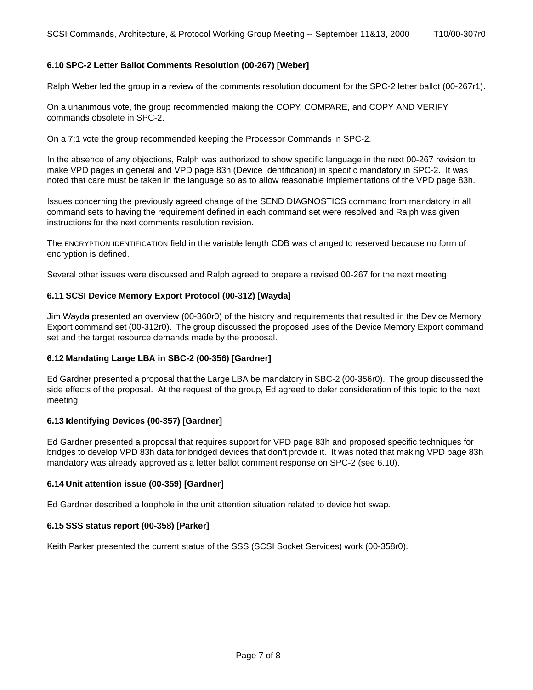## **6.10 SPC-2 Letter Ballot Comments Resolution (00-267) [Weber]**

Ralph Weber led the group in a review of the comments resolution document for the SPC-2 letter ballot (00-267r1).

On a unanimous vote, the group recommended making the COPY, COMPARE, and COPY AND VERIFY commands obsolete in SPC-2.

On a 7:1 vote the group recommended keeping the Processor Commands in SPC-2.

In the absence of any objections, Ralph was authorized to show specific language in the next 00-267 revision to make VPD pages in general and VPD page 83h (Device Identification) in specific mandatory in SPC-2. It was noted that care must be taken in the language so as to allow reasonable implementations of the VPD page 83h.

Issues concerning the previously agreed change of the SEND DIAGNOSTICS command from mandatory in all command sets to having the requirement defined in each command set were resolved and Ralph was given instructions for the next comments resolution revision.

The ENCRYPTION IDENTIFICATION field in the variable length CDB was changed to reserved because no form of encryption is defined.

Several other issues were discussed and Ralph agreed to prepare a revised 00-267 for the next meeting.

#### <span id="page-6-0"></span>**6.11 SCSI Device Memory Export Protocol (00-312) [Wayda]**

Jim Wayda presented an overview (00-360r0) of the history and requirements that resulted in the Device Memory Export command set (00-312r0). The group discussed the proposed uses of the Device Memory Export command set and the target resource demands made by the proposal.

## **6.12 Mandating Large LBA in SBC-2 (00-356) [Gardner]**

Ed Gardner presented a proposal that the Large LBA be mandatory in SBC-2 (00-356r0). The group discussed the side effects of the proposal. At the request of the group, Ed agreed to defer consideration of this topic to the next meeting.

## **6.13 Identifying Devices (00-357) [Gardner]**

Ed Gardner presented a proposal that requires support for VPD page 83h and proposed specific techniques for bridges to develop VPD 83h data for bridged devices that don't provide it. It was noted that making VPD page 83h mandatory was already approved as a letter ballot comment response on SPC-2 (see 6.10).

#### **6.14 Unit attention issue (00-359) [Gardner]**

Ed Gardner described a loophole in the unit attention situation related to device hot swap.

#### **6.15 SSS status report (00-358) [Parker]**

Keith Parker presented the current status of the SSS (SCSI Socket Services) work (00-358r0).